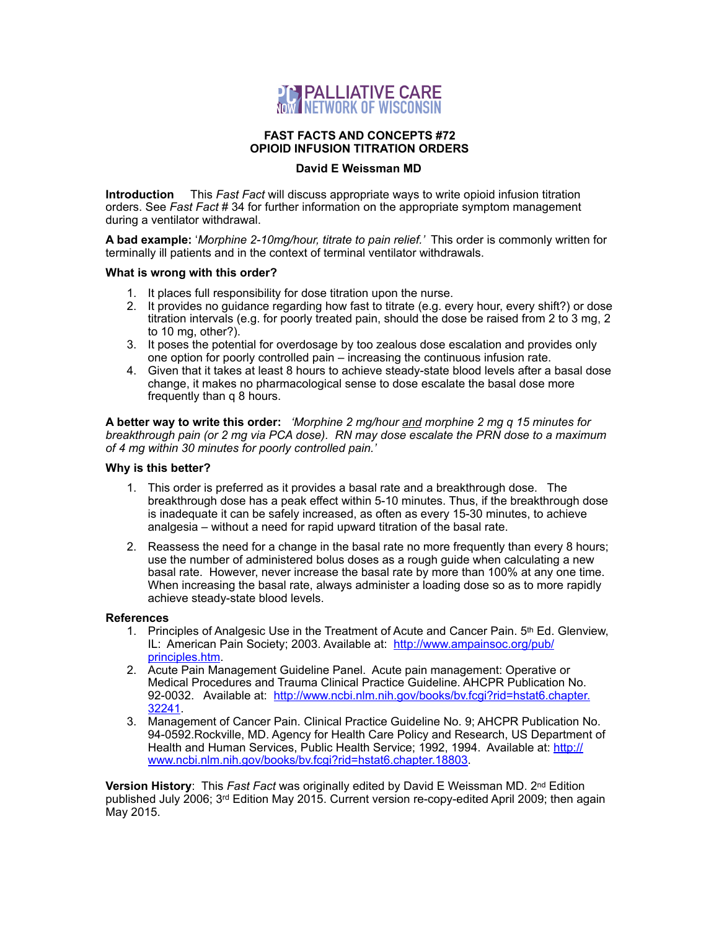

### **FAST FACTS AND CONCEPTS #72 OPIOID INFUSION TITRATION ORDERS**

# **David E Weissman MD**

**Introduction** This *Fast Fact* will discuss appropriate ways to write opioid infusion titration orders. See *Fast Fact* # 34 for further information on the appropriate symptom management during a ventilator withdrawal.

**A bad example:** '*Morphine 2-10mg/hour, titrate to pain relief.'* This order is commonly written for terminally ill patients and in the context of terminal ventilator withdrawals.

### **What is wrong with this order?**

- 1. It places full responsibility for dose titration upon the nurse.
- 2. It provides no guidance regarding how fast to titrate (e.g. every hour, every shift?) or dose titration intervals (e.g. for poorly treated pain, should the dose be raised from 2 to 3 mg, 2 to 10 mg, other?).
- 3. It poses the potential for overdosage by too zealous dose escalation and provides only one option for poorly controlled pain – increasing the continuous infusion rate.
- 4. Given that it takes at least 8 hours to achieve steady-state blood levels after a basal dose change, it makes no pharmacological sense to dose escalate the basal dose more frequently than q 8 hours.

**A better way to write this order:** *'Morphine 2 mg/hour and morphine 2 mg q 15 minutes for breakthrough pain (or 2 mg via PCA dose). RN may dose escalate the PRN dose to a maximum of 4 mg within 30 minutes for poorly controlled pain.'* 

## **Why is this better?**

- 1. This order is preferred as it provides a basal rate and a breakthrough dose. The breakthrough dose has a peak effect within 5-10 minutes. Thus, if the breakthrough dose is inadequate it can be safely increased, as often as every 15-30 minutes, to achieve analgesia – without a need for rapid upward titration of the basal rate.
- 2. Reassess the need for a change in the basal rate no more frequently than every 8 hours; use the number of administered bolus doses as a rough guide when calculating a new basal rate. However, never increase the basal rate by more than 100% at any one time. When increasing the basal rate, always administer a loading dose so as to more rapidly achieve steady-state blood levels.

#### **References**

- 1. Principles of Analgesic Use in the Treatment of Acute and Cancer Pain. 5th Ed. Glenview, IL: American Pain Society; 2003. Available at: [http://www.ampainsoc.org/pub/](http://www.ampainsoc.org/pub/principles.htm) [principles.htm.](http://www.ampainsoc.org/pub/principles.htm)
- 2. Acute Pain Management Guideline Panel. Acute pain management: Operative or Medical Procedures and Trauma Clinical Practice Guideline. AHCPR Publication No. 92-0032. Available at: [http://www.ncbi.nlm.nih.gov/books/bv.fcgi?rid=hstat6.chapter.](http://www.ncbi.nlm.nih.gov/books/bv.fcgi?rid=hstat6.chapter.32241) [32241.](http://www.ncbi.nlm.nih.gov/books/bv.fcgi?rid=hstat6.chapter.32241)
- 3. Management of Cancer Pain. Clinical Practice Guideline No. 9; AHCPR Publication No. 94-0592.Rockville, MD. Agency for Health Care Policy and Research, US Department of Health and Human Services, Public Health Service; 1992, 1994. Available at: [http://](http://www.ncbi.nlm.nih.gov/books/bv.fcgi?rid=hstat6.chapter.18803) [www.ncbi.nlm.nih.gov/books/bv.fcgi?rid=hstat6.chapter.18803](http://www.ncbi.nlm.nih.gov/books/bv.fcgi?rid=hstat6.chapter.18803).

**Version History**: This *Fast Fact* was originally edited by David E Weissman MD. 2nd Edition published July 2006; 3rd Edition May 2015. Current version re-copy-edited April 2009; then again May 2015.